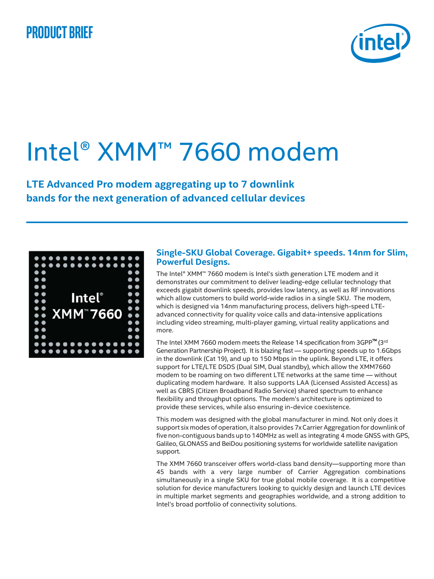## **Product brief**



## Intel® XMM™ 7660 modem

**LTE Advanced Pro modem aggregating up to 7 downlink bands for the next generation of advanced cellular devices**

|                     | .                                                |
|---------------------|--------------------------------------------------|
|                     | .                                                |
| $\bullet$ $\bullet$ | $\bullet$                                        |
| $\bullet$           | . .                                              |
| $\bullet$           | $\bullet$                                        |
| $\bullet$           | $\bullet$ $\bullet$<br><b>Intel</b> <sup>®</sup> |
| $\bullet$           | $\bullet$                                        |
| $\bullet$           | $\bullet$                                        |
| $\bullet$           | <b>XMM<sup>*</sup>7660</b><br>$\bullet$          |
| $\bullet$           | $\bullet$                                        |
| $\bullet$           | $\bullet$                                        |
| $\bullet$ $\bullet$ | . .                                              |
|                     | .                                                |
|                     | .                                                |

## **Single-SKU Global Coverage. Gigabit+ speeds. 14nm for Slim, Powerful Designs.**

The Intel® XMM™ 7660 modem is Intel's sixth generation LTE modem and it demonstrates our commitment to deliver leading-edge cellular technology that exceeds gigabit downlink speeds, provides low latency, as well as RF innovations which allow customers to build world-wide radios in a single SKU. The modem, which is designed via 14nm manufacturing process, delivers high-speed LTEadvanced connectivity for quality voice calls and data-intensive applications including video streaming, multi-player gaming, virtual reality applications and more.

The Intel XMM 7660 modem meets the Release 14 specification from  $3GPP^{m}$  (3rd Generation Partnership Project). It is blazing fast — supporting speeds up to 1.6Gbps in the downlink (Cat 19), and up to 150 Mbps in the uplink. Beyond LTE, it offers support for LTE/LTE DSDS (Dual SIM, Dual standby), which allow the XMM7660 modem to be roaming on two different LTE networks at the same time — without duplicating modem hardware. It also supports LAA (Licensed Assisted Access) as well as CBRS (Citizen Broadband Radio Service) shared spectrum to enhance flexibility and throughput options. The modem's architecture is optimized to provide these services, while also ensuring in-device coexistence.

This modem was designed with the global manufacturer in mind. Not only does it support six modes of operation, it also provides 7xCarrier Aggregation for downlink of five non-contiguous bands up to 140MHz as well as integrating 4 mode GNSS with GPS, Galileo, GLONASS and BeiDou positioning systems for worldwide satellite navigation support.

The XMM 7660 transceiver offers world-class band density—supporting more than 45 bands with a very large number of Carrier Aggregation combinations simultaneously in a single SKU for true global mobile coverage. It is a competitive solution for device manufacturers looking to quickly design and launch LTE devices in multiple market segments and geographies worldwide, and a strong addition to Intel's broad portfolio of connectivity solutions.